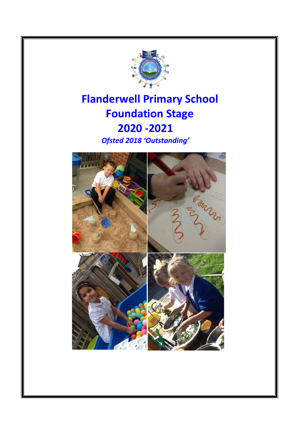

## **Flanderwell Primary School Foundation Stage 2020 -2021** *Ofsted 2018 'Outstanding'*

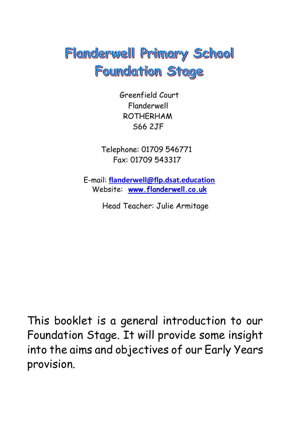# Flanderwell Primary School **Foundation Stage**

 Greenfield Court Flanderwell ROTHERHAM S66 2JF

Telephone: 01709 546771 Fax: 01709 543317

E-mail: **[flanderwell@flp.dsat.education](mailto:flanderwell@flp.dsat.education)** Website: **[www.flanderwell.co.uk](http://www.flanderwell.co.uk/)**

Head Teacher: Julie Armitage

This booklet is a general introduction to our Foundation Stage. It will provide some insight into the aims and objectives of our Early Years provision.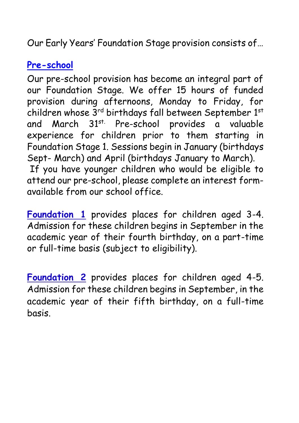Our Early Years' Foundation Stage provision consists of…

## **Pre-school**

Our pre-school provision has become an integral part of our Foundation Stage. We offer 15 hours of funded provision during afternoons, Monday to Friday, for children whose 3rd birthdays fall between September 1st and March 31<sup>st.</sup> Pre-school provides a valuable experience for children prior to them starting in Foundation Stage 1. Sessions begin in January (birthdays Sept- March) and April (birthdays January to March). If you have younger children who would be eligible to attend our pre-school, please complete an interest formavailable from our school office.

**Foundation 1** provides places for children aged 3-4. Admission for these children begins in September in the academic year of their fourth birthday, on a part-time or full-time basis (subject to eligibility).

**Foundation 2** provides places for children aged 4-5. Admission for these children begins in September, in the academic year of their fifth birthday, on a full-time basis.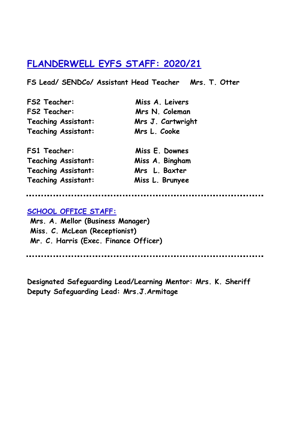## **FLANDERWELL EYFS STAFF: 2020/21**

**FS Lead/ SENDCo/ Assistant Head Teacher Mrs. T. Otter**

| <b>FS2 Teacher:</b>        |
|----------------------------|
| <b>FS2 Teacher:</b>        |
| <b>Teaching Assistant:</b> |
| <b>Teaching Assistant:</b> |

**FS1 Teacher: Miss E. Downes Teaching Assistant: Miss A. Bingham Teaching Assistant: Mrs L. Baxter Teaching Assistant: Miss L. Brunyee**

**FS2 Teacher: Miss A. Leivers Mrs N. Coleman Mrs J. Cartwright Mrs L. Cooke** 

<u>.............</u> <u>......................</u>

#### **SCHOOL OFFICE STAFF:**

**Mrs. A. Mellor (Business Manager) Miss. C. McLean (Receptionist) Mr. C. Harris (Exec. Finance Officer)**

......................

**Designated Safeguarding Lead/Learning Mentor: Mrs. K. Sheriff Deputy Safeguarding Lead: Mrs.J.Armitage**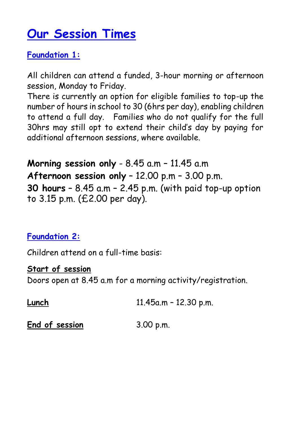## **Our Session Times**

## **Foundation 1:**

All children can attend a funded, 3-hour morning or afternoon session, Monday to Friday.

There is currently an option for eligible families to top-up the number of hours in school to 30 (6hrs per day), enabling children to attend a full day. Families who do not qualify for the full 30hrs may still opt to extend their child's day by paying for additional afternoon sessions, where available.

**Morning session only** - 8.45 a.m – 11.45 a.m **Afternoon session only** – 12.00 p.m – 3.00 p.m. **30 hours** – 8.45 a.m – 2.45 p.m. (with paid top-up option to 3.15 p.m. (£2.00 per day).

## **Foundation 2:**

Children attend on a full-time basis:

## **Start of session**

Doors open at 8.45 a.m for a morning activity/registration.

| Lunch | 11.45a.m - 12.30 p.m. |
|-------|-----------------------|
|       |                       |

End of session 3.00 p.m.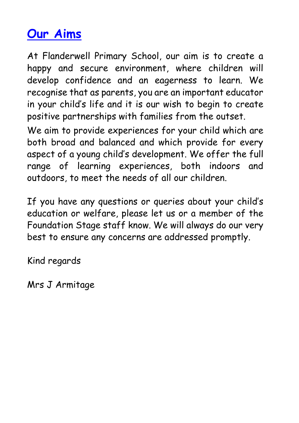# **Our Aims**

At Flanderwell Primary School, our aim is to create a happy and secure environment, where children will develop confidence and an eagerness to learn. We recognise that as parents, you are an important educator in your child's life and it is our wish to begin to create positive partnerships with families from the outset.

We aim to provide experiences for your child which are both broad and balanced and which provide for every aspect of a young child's development. We offer the full range of learning experiences, both indoors and outdoors, to meet the needs of all our children.

If you have any questions or queries about your child's education or welfare, please let us or a member of the Foundation Stage staff know. We will always do our very best to ensure any concerns are addressed promptly.

Kind regards

Mrs J Armitage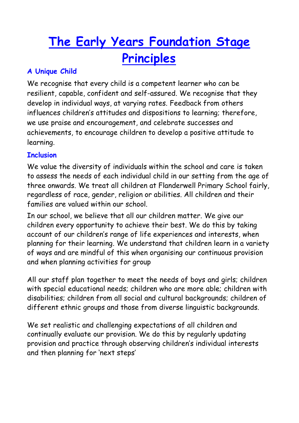# **The Early Years Foundation Stage Principles**

## **A Unique Child**

We recognise that every child is a competent learner who can be resilient, capable, confident and self-assured. We recognise that they develop in individual ways, at varying rates. Feedback from others influences children's attitudes and dispositions to learning; therefore, we use praise and encouragement, and celebrate successes and achievements, to encourage children to develop a positive attitude to learning.

## **Inclusion**

We value the diversity of individuals within the school and care is taken to assess the needs of each individual child in our setting from the age of three onwards. We treat all children at Flanderwell Primary School fairly, regardless of race, gender, religion or abilities. All children and their families are valued within our school.

In our school, we believe that all our children matter. We give our children every opportunity to achieve their best. We do this by taking account of our children's range of life experiences and interests, when planning for their learning. We understand that children learn in a variety of ways and are mindful of this when organising our continuous provision and when planning activities for group

All our staff plan together to meet the needs of boys and girls; children with special educational needs; children who are more able; children with disabilities; children from all social and cultural backgrounds; children of different ethnic groups and those from diverse linguistic backgrounds.

We set realistic and challenging expectations of all children and continually evaluate our provision. We do this by regularly updating provision and practice through observing children's individual interests and then planning for 'next steps'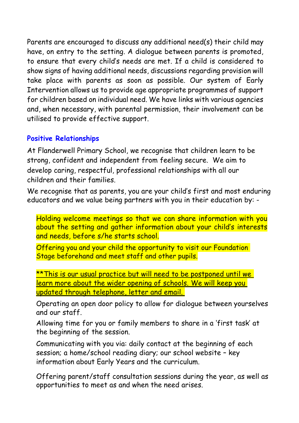Parents are encouraged to discuss any additional need(s) their child may have, on entry to the setting. A dialogue between parents is promoted, to ensure that every child's needs are met. If a child is considered to show signs of having additional needs, discussions regarding provision will take place with parents as soon as possible. Our system of Early Intervention allows us to provide age appropriate programmes of support for children based on individual need. We have links with various agencies and, when necessary, with parental permission, their involvement can be utilised to provide effective support.

### **Positive Relationships**

At Flanderwell Primary School, we recognise that children learn to be strong, confident and independent from feeling secure. We aim to develop caring, respectful, professional relationships with all our children and their families.

We recognise that as parents, you are your child's first and most enduring educators and we value being partners with you in their education by: -

Holding welcome meetings so that we can share information with you about the setting and gather information about your child's interests and needs, before s/he starts school.

Offering you and your child the opportunity to visit our Foundation Stage beforehand and meet staff and other pupils.

\*\* This is our usual practice but will need to be postponed until we learn more about the wider opening of schools. We will keep you updated through telephone, letter and email.

Operating an open door policy to allow for dialogue between yourselves and our staff.

Allowing time for you or family members to share in a 'first task' at the beginning of the session.

Communicating with you via: daily contact at the beginning of each session; a home/school reading diary; our school website – key information about Early Years and the curriculum.

Offering parent/staff consultation sessions during the year, as well as opportunities to meet as and when the need arises.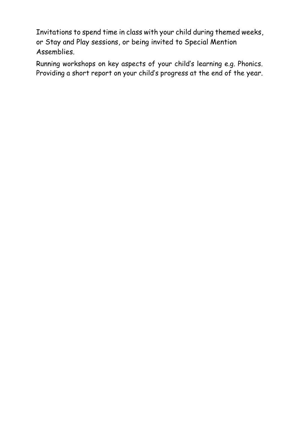Invitations to spend time in class with your child during themed weeks, or Stay and Play sessions, or being invited to Special Mention Assemblies.

Running workshops on key aspects of your child's learning e.g. Phonics. Providing a short report on your child's progress at the end of the year.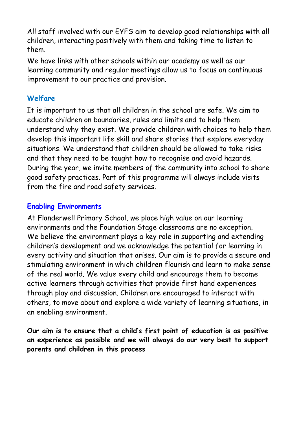All staff involved with our EYFS aim to develop good relationships with all children, interacting positively with them and taking time to listen to them.

We have links with other schools within our academy as well as our learning community and regular meetings allow us to focus on continuous improvement to our practice and provision.

## **Welfare**

It is important to us that all children in the school are safe. We aim to educate children on boundaries, rules and limits and to help them understand why they exist. We provide children with choices to help them develop this important life skill and share stories that explore everyday situations. We understand that children should be allowed to take risks and that they need to be taught how to recognise and avoid hazards. During the year, we invite members of the community into school to share good safety practices. Part of this programme will always include visits from the fire and road safety services.

## **Enabling Environments**

At Flanderwell Primary School, we place high value on our learning environments and the Foundation Stage classrooms are no exception. We believe the environment plays a key role in supporting and extending children's development and we acknowledge the potential for learning in every activity and situation that arises. Our aim is to provide a secure and stimulating environment in which children flourish and learn to make sense of the real world. We value every child and encourage them to become active learners through activities that provide first hand experiences through play and discussion. Children are encouraged to interact with others, to move about and explore a wide variety of learning situations, in an enabling environment.

**Our aim is to ensure that a child's first point of education is as positive an experience as possible and we will always do our very best to support parents and children in this process**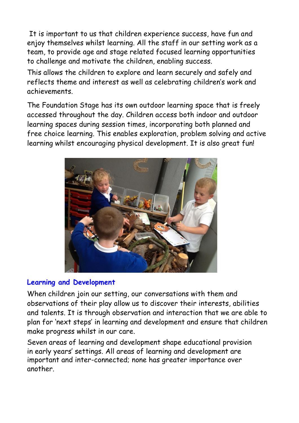It is important to us that children experience success, have fun and enjoy themselves whilst learning. All the staff in our setting work as a team, to provide age and stage related focused learning opportunities to challenge and motivate the children, enabling success.

This allows the children to explore and learn securely and safely and reflects theme and interest as well as celebrating children's work and achievements.

The Foundation Stage has its own outdoor learning space that is freely accessed throughout the day. Children access both indoor and outdoor learning spaces during session times, incorporating both planned and free choice learning. This enables exploration, problem solving and active learning whilst encouraging physical development. It is also great fun!



### **Learning and Development**

When children join our setting, our conversations with them and observations of their play allow us to discover their interests, abilities and talents. It is through observation and interaction that we are able to plan for 'next steps' in learning and development and ensure that children make progress whilst in our care.

Seven areas of learning and development shape educational provision in early years' settings. All areas of learning and development are important and inter-connected; none has greater importance over another.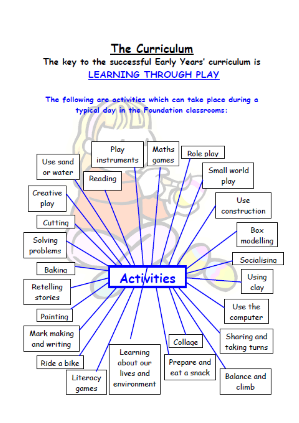The Curriculum The key to the successful Early Years' curriculum is LEARNING THROUGH PLAY

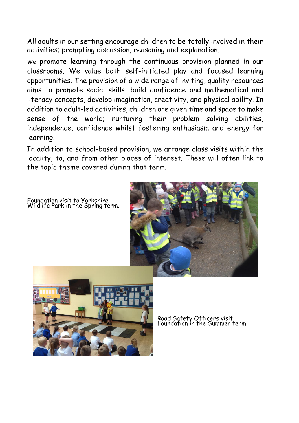All adults in our setting encourage children to be totally involved in their activities; prompting discussion, reasoning and explanation.

We promote learning through the continuous provision planned in our classrooms. We value both self-initiated play and focused learning opportunities. The provision of a wide range of inviting, quality resources aims to promote social skills, build confidence and mathematical and literacy concepts, develop imagination, creativity, and physical ability. In addition to adult-led activities, children are given time and space to make sense of the world; nurturing their problem solving abilities, independence, confidence whilst fostering enthusiasm and energy for learning.

In addition to school-based provision, we arrange class visits within the locality, to, and from other places of interest. These will often link to the topic theme covered during that term.

Foundation visit to Yorkshire Wildlife Park in the Spring term.





Road Safety Officers visit Foundation in the Summer term.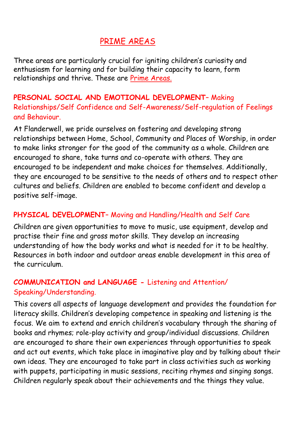## PRIME AREAS

Three areas are particularly crucial for igniting children's curiosity and enthusiasm for learning and for building their capacity to learn, form relationships and thrive. These are **Prime Areas.** 

## **PERSONAL SOCIAL AND EMOTIONAL DEVELOPMENT**– Making Relationships/Self Confidence and Self-Awareness/Self-regulation of Feelings and Behaviour.

At Flanderwell, we pride ourselves on fostering and developing strong relationships between Home, School, Community and Places of Worship, in order to make links stronger for the good of the community as a whole. Children are encouraged to share, take turns and co-operate with others. They are encouraged to be independent and make choices for themselves. Additionally, they are encouraged to be sensitive to the needs of others and to respect other cultures and beliefs. Children are enabled to become confident and develop a positive self-image.

## **PHYSICAL DEVELOPMENT**– Moving and Handling/Health and Self Care

Children are given opportunities to move to music, use equipment, develop and practise their fine and gross motor skills. They develop an increasing understanding of how the body works and what is needed for it to be healthy. Resources in both indoor and outdoor areas enable development in this area of the curriculum.

## **COMMUNICATION and LANGUAGE -** Listening and Attention/ Speaking/Understanding.

This covers all aspects of language development and provides the foundation for literacy skills. Children's developing competence in speaking and listening is the focus. We aim to extend and enrich children's vocabulary through the sharing of books and rhymes; role-play activity and group/individual discussions. Children are encouraged to share their own experiences through opportunities to speak and act out events, which take place in imaginative play and by talking about their own ideas. They are encouraged to take part in class activities such as working with puppets, participating in music sessions, reciting rhymes and singing songs. Children regularly speak about their achievements and the things they value.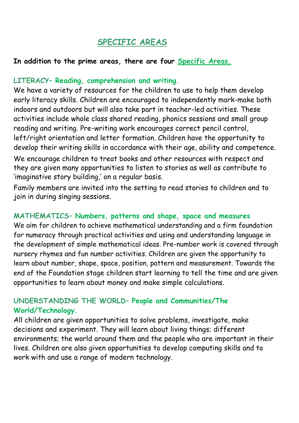## **SPECIFIC AREAS**

### **In addition to the prime areas, there are four Specific Areas.**

### **LITERACY– Reading, comprehension and writing.**

We have a variety of resources for the children to use to help them develop early literacy skills. Children are encouraged to independently mark-make both indoors and outdoors but will also take part in teacher-led activities. These activities include whole class shared reading, phonics sessions and small group reading and writing. Pre-writing work encourages correct pencil control, left/right orientation and letter formation. Children have the opportunity to develop their writing skills in accordance with their age, ability and competence.

We encourage children to treat books and other resources with respect and they are given many opportunities to listen to stories as well as contribute to 'imaginative story building,' on a regular basis.

Family members are invited into the setting to read stories to children and to join in during singing sessions.

### **MATHEMATICS– Numbers, patterns and shape, space and measures**

We aim for children to achieve mathematical understanding and a firm foundation for numeracy through practical activities and using and understanding language in the development of simple mathematical ideas. Pre-number work is covered through nursery rhymes and fun number activities. Children are given the opportunity to learn about number, shape, space, position, pattern and measurement. Towards the end of the Foundation stage children start learning to tell the time and are given opportunities to learn about money and make simple calculations.

## **UNDERSTANDING THE WORLD– People and Communities/The World/Technology.**

All children are given opportunities to solve problems, investigate, make decisions and experiment. They will learn about living things; different environments; the world around them and the people who are important in their lives. Children are also given opportunities to develop computing skills and to work with and use a range of modern technology.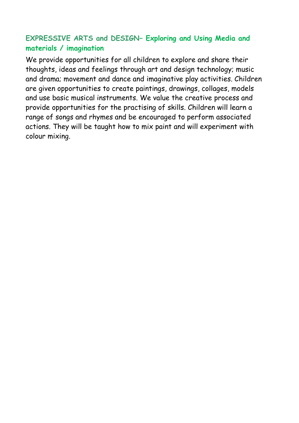## **EXPRESSIVE ARTS and DESIGN– Exploring and Using Media and materials / imagination**

We provide opportunities for all children to explore and share their thoughts, ideas and feelings through art and design technology; music and drama; movement and dance and imaginative play activities. Children are given opportunities to create paintings, drawings, collages, models and use basic musical instruments. We value the creative process and provide opportunities for the practising of skills. Children will learn a range of songs and rhymes and be encouraged to perform associated actions. They will be taught how to mix paint and will experiment with colour mixing.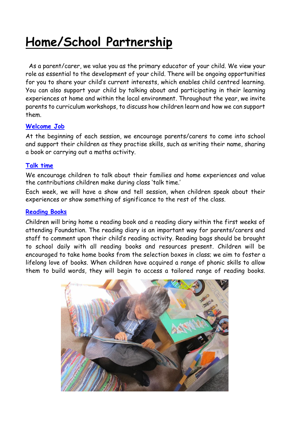# **Home/School Partnership**

 As a parent/carer, we value you as the primary educator of your child. We view your role as essential to the development of your child. There will be ongoing opportunities for you to share your child's current interests, which enables child centred learning. You can also support your child by talking about and participating in their learning experiences at home and within the local environment. Throughout the year, we invite parents to curriculum workshops, to discuss how children learn and how we can support them.

#### **Welcome Job**

At the beginning of each session, we encourage parents/carers to come into school and support their children as they practise skills, such as writing their name, sharing a book or carrying out a maths activity.

#### **Talk time**

We encourage children to talk about their families and home experiences and value the contributions children make during class 'talk time.'

Each week, we will have a show and tell session, when children speak about their experiences or show something of significance to the rest of the class.

#### **Reading Books**

Children will bring home a reading book and a reading diary within the first weeks of attending Foundation. The reading diary is an important way for parents/carers and staff to comment upon their child's reading activity. Reading bags should be brought to school daily with all reading books and resources present. Children will be encouraged to take home books from the selection boxes in class; we aim to foster a lifelong love of books. When children have acquired a range of phonic skills to allow them to build words, they will begin to access a tailored range of reading books.

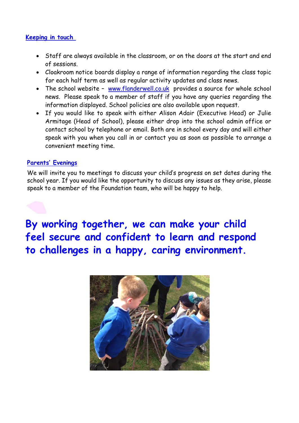#### **Keeping in touch**

- Staff are always available in the classroom, or on the doors at the start and end of sessions.
- Cloakroom notice boards display a range of information regarding the class topic for each half term as well as regular activity updates and class news.
- The school website [www.flanderwell.co.uk](http://www.flanderwell.co.uk/) provides a source for whole school news. Please speak to a member of staff if you have any queries regarding the information displayed. School policies are also available upon request.
- If you would like to speak with either Alison Adair (Executive Head) or Julie Armitage (Head of School), please either drop into the school admin office or contact school by telephone or email. Both are in school every day and will either speak with you when you call in or contact you as soon as possible to arrange a convenient meeting time.

#### **Parents' Evenings**

We will invite you to meetings to discuss your child's progress on set dates during the school year. If you would like the opportunity to discuss any issues as they arise, please speak to a member of the Foundation team, who will be happy to help.

**By working together, we can make your child feel secure and confident to learn and respond to challenges in a happy, caring environment.**

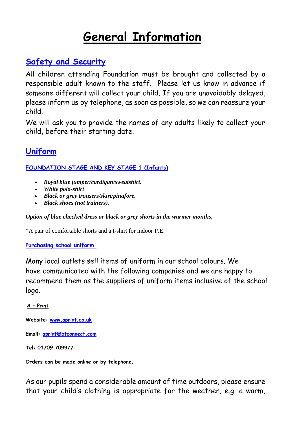## **General Information**

## **Safety and Security**

All children attending Foundation must be brought and collected by a responsible adult known to the staff. Please let us know in advance if someone different will collect your child. If you are unavoidably delayed, please inform us by telephone, as soon as possible, so we can reassure your child.

We will ask you to provide the names of any adults likely to collect your child, before their starting date.

## **Uniform**

**FOUNDATION STAGE AND KEY STAGE 1 (Infants)**

- *Royal blue jumper/cardigan/sweatshirt.*
- *White polo-shirt*
- *Black or grey trousers/skirt/pinafore.*
- *Black shoes (not trainers).*

*Option of blue checked dress or black or grey shorts in the warmer months.*

\*A pair of comfortable shorts and a t-shirt for indoor P.E.

#### **Purchasing school uniform.**

Many local outlets sell items of uniform in our school colours. We have communicated with the following companies and we are happy to recommend them as the suppliers of uniform items inclusive of the school logo.

#### **A – Print**

**Website: [www.aprint.co.uk](http://www.aprint.co.uk/)**

**Email: [aprint@btconnect.com](mailto:aprint@btconnect.com)**

**Tel: 01709 709977**

**Orders can be made online or by telephone.**

As our pupils spend a considerable amount of time outdoors, please ensure that your child's clothing is appropriate for the weather, e.g. a warm,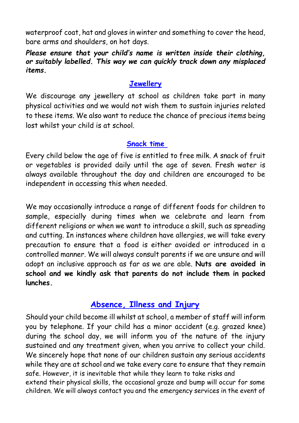waterproof coat, hat and gloves in winter and something to cover the head, bare arms and shoulders, on hot days.

### *Please ensure that your child's name is written inside their clothing, or suitably labelled. This way we can quickly track down any misplaced items.*

## **Jewellery**

We discourage any jewellery at school as children take part in many physical activities and we would not wish them to sustain injuries related to these items. We also want to reduce the chance of precious items being lost whilst your child is at school.

## **Snack time**

Every child below the age of five is entitled to free milk. A snack of fruit or vegetables is provided daily until the age of seven. Fresh water is always available throughout the day and children are encouraged to be independent in accessing this when needed.

We may occasionally introduce a range of different foods for children to sample, especially during times when we celebrate and learn from different religions or when we want to introduce a skill, such as spreading and cutting. In instances where children have allergies, we will take every precaution to ensure that a food is either avoided or introduced in a controlled manner. We will always consult parents if we are unsure and will adopt an inclusive approach as far as we are able. **Nuts are avoided in school and we kindly ask that parents do not include them in packed lunches.**

## **Absence, Illness and Injury**

Should your child become ill whilst at school, a member of staff will inform you by telephone. If your child has a minor accident (e.g. grazed knee) during the school day, we will inform you of the nature of the injury sustained and any treatment given, when you arrive to collect your child. We sincerely hope that none of our children sustain any serious accidents while they are at school and we take every care to ensure that they remain safe. However, it is inevitable that while they learn to take risks and extend their physical skills, the occasional graze and bump will occur for some children. We will always contact you and the emergency services in the event of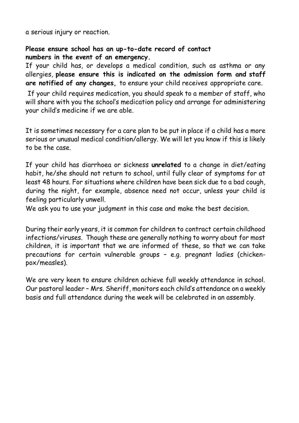a serious injury or reaction.

#### **Please ensure school has an up-to-date record of contact numbers in the event of an emergency.**

If your child has, or develops a medical condition, such as asthma or any allergies, **please ensure this is indicated on the admission form and staff are notified of any changes,** to ensure your child receives appropriate care.

If your child requires medication, you should speak to a member of staff, who will share with you the school's medication policy and arrange for administering your child's medicine if we are able.

It is sometimes necessary for a care plan to be put in place if a child has a more serious or unusual medical condition/allergy. We will let you know if this is likely to be the case.

If your child has diarrhoea or sickness **unrelated** to a change in diet/eating habit, he/she should not return to school, until fully clear of symptoms for at least 48 hours. For situations where children have been sick due to a bad cough, during the night, for example, absence need not occur, unless your child is feeling particularly unwell.

We ask you to use your judgment in this case and make the best decision.

During their early years, it is common for children to contract certain childhood infections/viruses. Though these are generally nothing to worry about for most children, it is important that we are informed of these, so that we can take precautions for certain vulnerable groups – e.g. pregnant ladies (chickenpox/measles).

We are very keen to ensure children achieve full weekly attendance in school. Our pastoral leader – Mrs. Sheriff, monitors each child's attendance on a weekly basis and full attendance during the week will be celebrated in an assembly.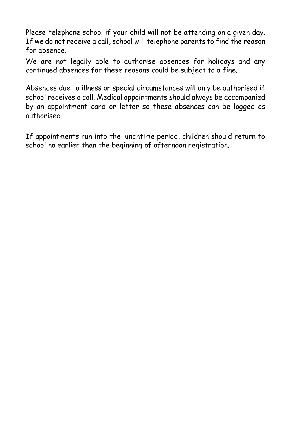Please telephone school if your child will not be attending on a given day. If we do not receive a call, school will telephone parents to find the reason for absence.

We are not legally able to authorise absences for holidays and any continued absences for these reasons could be subject to a fine.

Absences due to illness or special circumstances will only be authorised if school receives a call. Medical appointments should always be accompanied by an appointment card or letter so these absences can be logged as authorised.

If appointments run into the lunchtime period, children should return to school no earlier than the beginning of afternoon registration.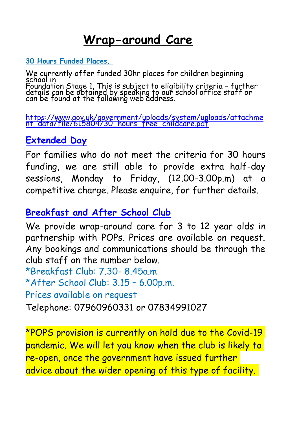## **Wrap-around Care**

## **30 Hours Funded Places.**

We currently offer funded 30hr places for children beginning school in Foundation Stage 1. This is subject to eligibility criteria – further details can be obtained by speaking to our school office staff or can be found at the following web address.

[https://www.gov.uk/government/uploads/system/uploads/attachme](https://www.gov.uk/government/uploads/system/uploads/attachment_data/file/615804/30_hours_free_childcare.pdf) [nt\\_data/file/615804/30\\_hours\\_free\\_childcare.pdf](https://www.gov.uk/government/uploads/system/uploads/attachment_data/file/615804/30_hours_free_childcare.pdf)

## **Extended Day**

For families who do not meet the criteria for 30 hours funding, we are still able to provide extra half-day sessions, Monday to Friday, (12.00-3.00p.m) at a competitive charge. Please enquire, for further details.

## **Breakfast and After School Club**

We provide wrap-around care for 3 to 12 year olds in partnership with POPs. Prices are available on request. Any bookings and communications should be through the club staff on the number below. \*Breakfast Club: 7.30- 8.45a.m \*After School Club: 3.15 – 6.00p.m. Prices available on request Telephone: 07960960331 or 07834991027

\*POPS provision is currently on hold due to the Covid-19 pandemic. We will let you know when the club is likely to re-open, once the government have issued further advice about the wider opening of this type of facility.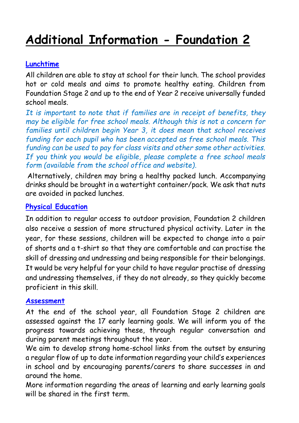# **Additional Information - Foundation 2**

## **Lunchtime**

All children are able to stay at school for their lunch. The school provides hot or cold meals and aims to promote healthy eating. Children from Foundation Stage 2 and up to the end of Year 2 receive universally funded school meals.

*It is important to note that if families are in receipt of benefits, they may be eligible for free school meals. Although this is not a concern for families until children begin Year 3, it does mean that school receives funding for each pupil who has been accepted as free school meals. This funding can be used to pay for class visits and other some other activities. If you think you would be eligible, please complete a free school meals form (available from the school office and website).*

Alternatively, children may bring a healthy packed lunch. Accompanying drinks should be brought in a watertight container/pack. We ask that nuts are avoided in packed lunches.

#### **Physical Education**

In addition to regular access to outdoor provision, Foundation 2 children also receive a session of more structured physical activity. Later in the year, for these sessions, children will be expected to change into a pair of shorts and a t-shirt so that they are comfortable and can practise the skill of dressing and undressing and being responsible for their belongings. It would be very helpful for your child to have regular practise of dressing and undressing themselves, if they do not already, so they quickly become proficient in this skill.

#### **Assessment**

At the end of the school year, all Foundation Stage 2 children are assessed against the 17 early learning goals. We will inform you of the progress towards achieving these, through regular conversation and during parent meetings throughout the year.

We aim to develop strong home-school links from the outset by ensuring a regular flow of up to date information regarding your child's experiences in school and by encouraging parents/carers to share successes in and around the home.

More information regarding the areas of learning and early learning goals will be shared in the first term.